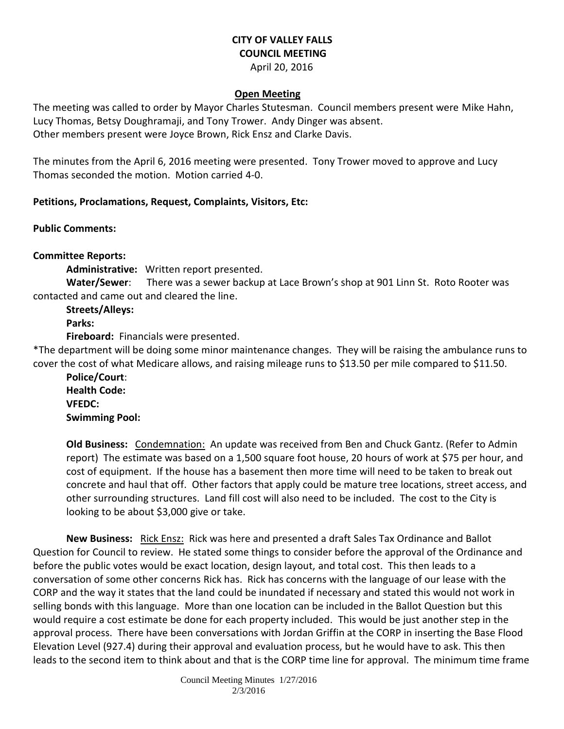# **CITY OF VALLEY FALLS COUNCIL MEETING**

April 20, 2016

#### **Open Meeting**

The meeting was called to order by Mayor Charles Stutesman. Council members present were Mike Hahn, Lucy Thomas, Betsy Doughramaji, and Tony Trower. Andy Dinger was absent. Other members present were Joyce Brown, Rick Ensz and Clarke Davis.

The minutes from the April 6, 2016 meeting were presented. Tony Trower moved to approve and Lucy Thomas seconded the motion. Motion carried 4-0.

## **Petitions, Proclamations, Request, Complaints, Visitors, Etc:**

**Public Comments:** 

## **Committee Reports:**

**Administrative:** Written report presented.

**Water/Sewer**: There was a sewer backup at Lace Brown's shop at 901 Linn St. Roto Rooter was contacted and came out and cleared the line.

**Streets/Alleys: Parks:** 

**Fireboard:** Financials were presented.

\*The department will be doing some minor maintenance changes. They will be raising the ambulance runs to cover the cost of what Medicare allows, and raising mileage runs to \$13.50 per mile compared to \$11.50.

**Police/Court**: **Health Code: VFEDC: Swimming Pool:** 

**Old Business:** Condemnation: An update was received from Ben and Chuck Gantz. (Refer to Admin report) The estimate was based on a 1,500 square foot house, 20 hours of work at \$75 per hour, and cost of equipment. If the house has a basement then more time will need to be taken to break out concrete and haul that off. Other factors that apply could be mature tree locations, street access, and other surrounding structures. Land fill cost will also need to be included. The cost to the City is looking to be about \$3,000 give or take.

**New Business:** Rick Ensz: Rick was here and presented a draft Sales Tax Ordinance and Ballot Question for Council to review. He stated some things to consider before the approval of the Ordinance and before the public votes would be exact location, design layout, and total cost. This then leads to a conversation of some other concerns Rick has. Rick has concerns with the language of our lease with the CORP and the way it states that the land could be inundated if necessary and stated this would not work in selling bonds with this language. More than one location can be included in the Ballot Question but this would require a cost estimate be done for each property included. This would be just another step in the approval process. There have been conversations with Jordan Griffin at the CORP in inserting the Base Flood Elevation Level (927.4) during their approval and evaluation process, but he would have to ask. This then leads to the second item to think about and that is the CORP time line for approval. The minimum time frame